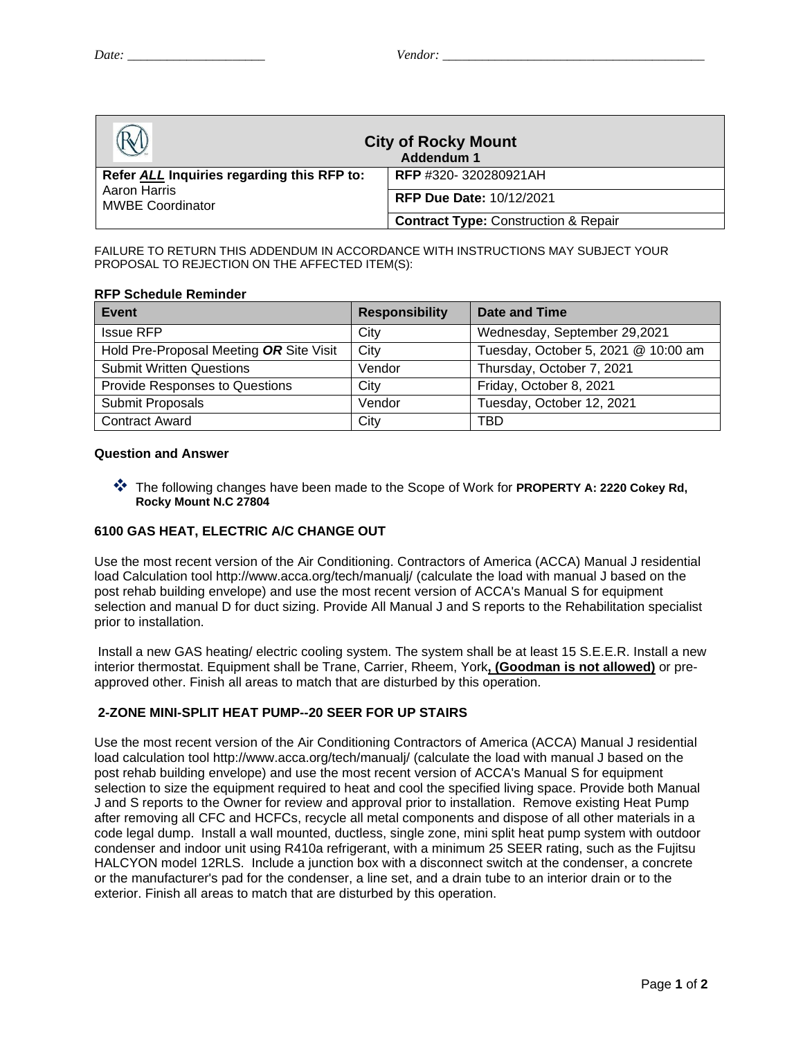| <b>City of Rocky Mount</b><br>Addendum 1                                              |                                                 |  |
|---------------------------------------------------------------------------------------|-------------------------------------------------|--|
| Refer ALL Inquiries regarding this RFP to:<br>Aaron Harris<br><b>MWBE Coordinator</b> | <b>RFP</b> #320-320280921AH                     |  |
|                                                                                       | <b>RFP Due Date: 10/12/2021</b>                 |  |
|                                                                                       | <b>Contract Type: Construction &amp; Repair</b> |  |

FAILURE TO RETURN THIS ADDENDUM IN ACCORDANCE WITH INSTRUCTIONS MAY SUBJECT YOUR PROPOSAL TO REJECTION ON THE AFFECTED ITEM(S):

#### **RFP Schedule Reminder**

| Event                                   | <b>Responsibility</b> | Date and Time                       |
|-----------------------------------------|-----------------------|-------------------------------------|
| <b>Issue RFP</b>                        | City                  | Wednesday, September 29,2021        |
| Hold Pre-Proposal Meeting OR Site Visit | City                  | Tuesday, October 5, 2021 @ 10:00 am |
| <b>Submit Written Questions</b>         | Vendor                | Thursday, October 7, 2021           |
| Provide Responses to Questions          | City                  | Friday, October 8, 2021             |
| Submit Proposals                        | Vendor                | Tuesday, October 12, 2021           |
| <b>Contract Award</b>                   | City                  | TBD                                 |

#### **Question and Answer**

❖ The following changes have been made to the Scope of Work for **PROPERTY A: 2220 Cokey Rd, Rocky Mount N.C 27804**

# **6100 GAS HEAT, ELECTRIC A/C CHANGE OUT**

Use the most recent version of the Air Conditioning. Contractors of America (ACCA) Manual J residential load Calculation tool http://www.acca.org/tech/manualj/ (calculate the load with manual J based on the post rehab building envelope) and use the most recent version of ACCA's Manual S for equipment selection and manual D for duct sizing. Provide All Manual J and S reports to the Rehabilitation specialist prior to installation.

Install a new GAS heating/ electric cooling system. The system shall be at least 15 S.E.E.R. Install a new interior thermostat. Equipment shall be Trane, Carrier, Rheem, York**, (Goodman is not allowed)** or preapproved other. Finish all areas to match that are disturbed by this operation.

# **2-ZONE MINI-SPLIT HEAT PUMP--20 SEER FOR UP STAIRS**

Use the most recent version of the Air Conditioning Contractors of America (ACCA) Manual J residential load calculation tool http://www.acca.org/tech/manualj/ (calculate the load with manual J based on the post rehab building envelope) and use the most recent version of ACCA's Manual S for equipment selection to size the equipment required to heat and cool the specified living space. Provide both Manual J and S reports to the Owner for review and approval prior to installation. Remove existing Heat Pump after removing all CFC and HCFCs, recycle all metal components and dispose of all other materials in a code legal dump. Install a wall mounted, ductless, single zone, mini split heat pump system with outdoor condenser and indoor unit using R410a refrigerant, with a minimum 25 SEER rating, such as the Fujitsu HALCYON model 12RLS. Include a junction box with a disconnect switch at the condenser, a concrete or the manufacturer's pad for the condenser, a line set, and a drain tube to an interior drain or to the exterior. Finish all areas to match that are disturbed by this operation.